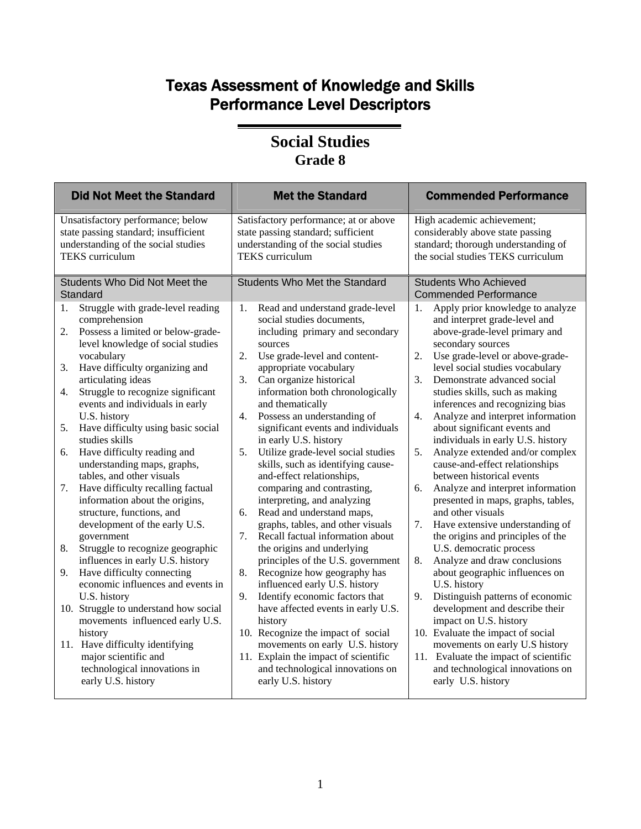## Texas Assessment of Knowledge and Skills Performance Level Descriptors

#### **Social Studies Grade 8**

| <b>Did Not Meet the Standard</b>          | <b>Met the Standard</b>               | <b>Commended Performance</b>                          |
|-------------------------------------------|---------------------------------------|-------------------------------------------------------|
| Unsatisfactory performance; below         | Satisfactory performance; at or above | High academic achievement;                            |
| state passing standard; insufficient      | state passing standard; sufficient    | considerably above state passing                      |
| understanding of the social studies       | understanding of the social studies   | standard; thorough understanding of                   |
| <b>TEKS</b> curriculum                    | <b>TEKS</b> curriculum                | the social studies TEKS curriculum                    |
| Students Who Did Not Meet the<br>Standard | <b>Students Who Met the Standard</b>  | <b>Students Who Achieved</b><br>Commended Performance |
| Struggle with grade-level reading         | Read and understand grade-level       | Apply prior knowledge to analyze                      |
| 1.                                        | 1.                                    | 1.                                                    |
| comprehension                             | social studies documents,             | and interpret grade-level and                         |
| Possess a limited or below-grade-         | including primary and secondary       | above-grade-level primary and                         |
| 2.                                        | sources                               | secondary sources                                     |
| level knowledge of social studies         | 2.                                    | Use grade-level or above-grade-                       |
| vocabulary                                | Use grade-level and content-          | 2.                                                    |
| Have difficulty organizing and            | appropriate vocabulary                | level social studies vocabulary                       |
| 3.                                        | Can organize historical               | 3.                                                    |
| articulating ideas                        | 3.                                    | Demonstrate advanced social                           |
| Struggle to recognize significant         | information both chronologically      | studies skills, such as making                        |
| 4.                                        | and thematically                      | inferences and recognizing bias                       |
| events and individuals in early           | Possess an understanding of           | Analyze and interpret information                     |
| U.S. history                              | 4.                                    | 4.                                                    |
| Have difficulty using basic social        | significant events and individuals    | about significant events and                          |
| 5.                                        | in early U.S. history                 | individuals in early U.S. history                     |
| studies skills                            | 5.                                    | 5.                                                    |
| Have difficulty reading and               | Utilize grade-level social studies    | Analyze extended and/or complex                       |
| 6.                                        | skills, such as identifying cause-    | cause-and-effect relationships                        |
| understanding maps, graphs,               | and-effect relationships,             | between historical events                             |
| tables, and other visuals                 | comparing and contrasting,            | 6.                                                    |
| Have difficulty recalling factual         | interpreting, and analyzing           | Analyze and interpret information                     |
| 7.                                        | Read and understand maps,             | presented in maps, graphs, tables,                    |
| information about the origins,            | 6.                                    | and other visuals                                     |
| structure, functions, and                 | graphs, tables, and other visuals     | Have extensive understanding of                       |
| development of the early U.S.             | 7.                                    | 7.                                                    |
| government                                | Recall factual information about      | the origins and principles of the                     |
| Struggle to recognize geographic          | the origins and underlying            | U.S. democratic process                               |
| 8.                                        | principles of the U.S. government     | Analyze and draw conclusions                          |
| influences in early U.S. history          | Recognize how geography has           | 8.                                                    |
| Have difficulty connecting                | 8.                                    | about geographic influences on                        |
| 9.                                        | influenced early U.S. history         | U.S. history                                          |
| economic influences and events in         | Identify economic factors that        | Distinguish patterns of economic                      |
| U.S. history                              | 9.                                    | 9.                                                    |
| 10. Struggle to understand how social     | have affected events in early U.S.    | development and describe their                        |
| movements influenced early U.S.           | history                               | impact on U.S. history                                |
| history                                   | 10. Recognize the impact of social    | 10. Evaluate the impact of social                     |
| 11. Have difficulty identifying           | movements on early U.S. history       | movements on early U.S history                        |
| major scientific and                      | 11. Explain the impact of scientific  | 11. Evaluate the impact of scientific                 |
| technological innovations in              | and technological innovations on      | and technological innovations on                      |
| early U.S. history                        | early U.S. history                    | early U.S. history                                    |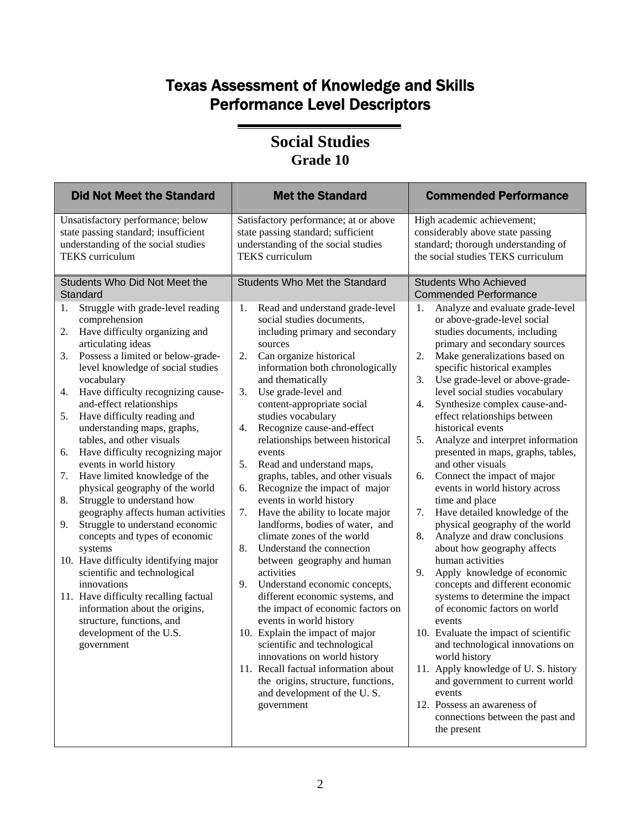## Texas Assessment of Knowledge and Skills Performance Level Descriptors

#### **Social Studies Grade 10**

| <b>Did Not Meet the Standard</b>                                                                                                                                                                                                                                                                                                                                                                                                                                                                                                                                                                                                                                                                                                                                                                                                                                                                                                                                                                    | <b>Met the Standard</b>                                                                                                                                                                                                                                                                                                                                                                                                                                                                                                                                                                                                                                                                                                                                                                                                                                                                                                                                                                                                                                                                                                           | <b>Commended Performance</b>                                                                                                                                                                                                                                                                                                                                                                                                                                                                                                                                                                                                                                                                                                                                                                                                                                                                                                                                                                                                                                                                                                                                                                                                       |
|-----------------------------------------------------------------------------------------------------------------------------------------------------------------------------------------------------------------------------------------------------------------------------------------------------------------------------------------------------------------------------------------------------------------------------------------------------------------------------------------------------------------------------------------------------------------------------------------------------------------------------------------------------------------------------------------------------------------------------------------------------------------------------------------------------------------------------------------------------------------------------------------------------------------------------------------------------------------------------------------------------|-----------------------------------------------------------------------------------------------------------------------------------------------------------------------------------------------------------------------------------------------------------------------------------------------------------------------------------------------------------------------------------------------------------------------------------------------------------------------------------------------------------------------------------------------------------------------------------------------------------------------------------------------------------------------------------------------------------------------------------------------------------------------------------------------------------------------------------------------------------------------------------------------------------------------------------------------------------------------------------------------------------------------------------------------------------------------------------------------------------------------------------|------------------------------------------------------------------------------------------------------------------------------------------------------------------------------------------------------------------------------------------------------------------------------------------------------------------------------------------------------------------------------------------------------------------------------------------------------------------------------------------------------------------------------------------------------------------------------------------------------------------------------------------------------------------------------------------------------------------------------------------------------------------------------------------------------------------------------------------------------------------------------------------------------------------------------------------------------------------------------------------------------------------------------------------------------------------------------------------------------------------------------------------------------------------------------------------------------------------------------------|
| Unsatisfactory performance; below<br>state passing standard; insufficient<br>understanding of the social studies<br><b>TEKS</b> curriculum                                                                                                                                                                                                                                                                                                                                                                                                                                                                                                                                                                                                                                                                                                                                                                                                                                                          | Satisfactory performance; at or above<br>state passing standard; sufficient<br>understanding of the social studies<br><b>TEKS</b> curriculum                                                                                                                                                                                                                                                                                                                                                                                                                                                                                                                                                                                                                                                                                                                                                                                                                                                                                                                                                                                      | High academic achievement;<br>considerably above state passing<br>standard; thorough understanding of<br>the social studies TEKS curriculum                                                                                                                                                                                                                                                                                                                                                                                                                                                                                                                                                                                                                                                                                                                                                                                                                                                                                                                                                                                                                                                                                        |
| Students Who Did Not Meet the<br>Standard<br>Struggle with grade-level reading<br>1.<br>comprehension<br>Have difficulty organizing and<br>2.<br>articulating ideas<br>Possess a limited or below-grade-<br>3.<br>level knowledge of social studies<br>vocabulary<br>Have difficulty recognizing cause-<br>4.<br>and-effect relationships<br>Have difficulty reading and<br>5.<br>understanding maps, graphs,<br>tables, and other visuals<br>Have difficulty recognizing major<br>6.<br>events in world history<br>Have limited knowledge of the<br>7.<br>physical geography of the world<br>Struggle to understand how<br>8.<br>geography affects human activities<br>Struggle to understand economic<br>9.<br>concepts and types of economic<br>systems<br>10. Have difficulty identifying major<br>scientific and technological<br>innovations<br>11. Have difficulty recalling factual<br>information about the origins,<br>structure, functions, and<br>development of the U.S.<br>government | <b>Students Who Met the Standard</b><br>Read and understand grade-level<br>1.<br>social studies documents,<br>including primary and secondary<br>sources<br>2.<br>Can organize historical<br>information both chronologically<br>and thematically<br>3.<br>Use grade-level and<br>content-appropriate social<br>studies vocabulary<br>Recognize cause-and-effect<br>4.<br>relationships between historical<br>events<br>5.<br>Read and understand maps,<br>graphs, tables, and other visuals<br>Recognize the impact of major<br>6.<br>events in world history<br>7.<br>Have the ability to locate major<br>landforms, bodies of water, and<br>climate zones of the world<br>8.<br>Understand the connection<br>between geography and human<br>activities<br>Understand economic concepts,<br>9.<br>different economic systems, and<br>the impact of economic factors on<br>events in world history<br>10. Explain the impact of major<br>scientific and technological<br>innovations on world history<br>11. Recall factual information about<br>the origins, structure, functions,<br>and development of the U.S.<br>government | <b>Students Who Achieved</b><br><b>Commended Performance</b><br>1.<br>Analyze and evaluate grade-level<br>or above-grade-level social<br>studies documents, including<br>primary and secondary sources<br>Make generalizations based on<br>2.<br>specific historical examples<br>3.<br>Use grade-level or above-grade-<br>level social studies vocabulary<br>Synthesize complex cause-and-<br>4.<br>effect relationships between<br>historical events<br>Analyze and interpret information<br>5.<br>presented in maps, graphs, tables,<br>and other visuals<br>Connect the impact of major<br>6.<br>events in world history across<br>time and place<br>Have detailed knowledge of the<br>7.<br>physical geography of the world<br>8.<br>Analyze and draw conclusions<br>about how geography affects<br>human activities<br>9.<br>Apply knowledge of economic<br>concepts and different economic<br>systems to determine the impact<br>of economic factors on world<br>events<br>10. Evaluate the impact of scientific<br>and technological innovations on<br>world history<br>11. Apply knowledge of U.S. history<br>and government to current world<br>events<br>12. Possess an awareness of<br>connections between the past and |
|                                                                                                                                                                                                                                                                                                                                                                                                                                                                                                                                                                                                                                                                                                                                                                                                                                                                                                                                                                                                     |                                                                                                                                                                                                                                                                                                                                                                                                                                                                                                                                                                                                                                                                                                                                                                                                                                                                                                                                                                                                                                                                                                                                   | the present                                                                                                                                                                                                                                                                                                                                                                                                                                                                                                                                                                                                                                                                                                                                                                                                                                                                                                                                                                                                                                                                                                                                                                                                                        |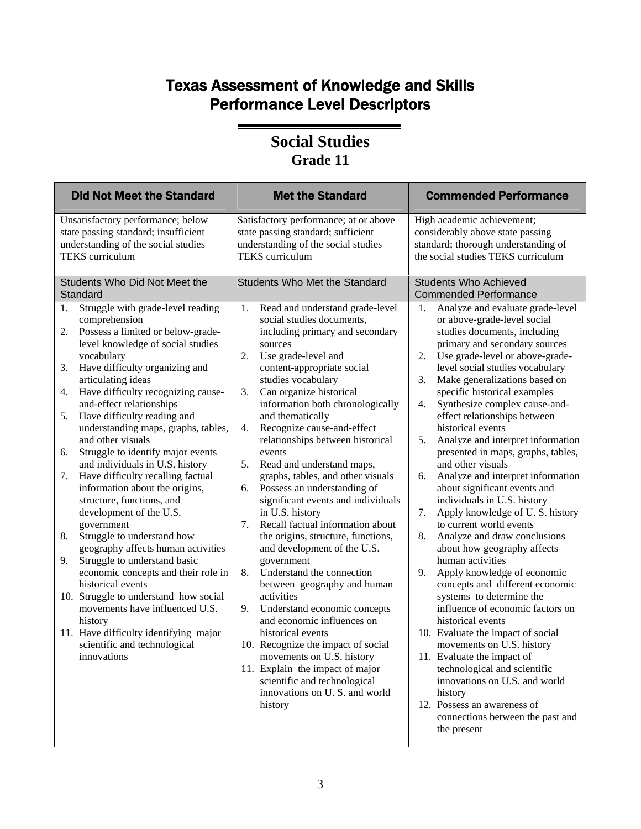## Texas Assessment of Knowledge and Skills Performance Level Descriptors

#### **Social Studies Grade 11**

| <b>Did Not Meet the Standard</b>                                                                                                                                                                                                                                                                                                                                                                                                                                                                                                                                                                                                                                                                                                                                                                                                                                                                                                                                                         | <b>Met the Standard</b>                                                                                                                                                                                                                                                                                                                                                                                                                                                                                                                                                                                                                                                                                                                                                                                                                                                                                                                                                                                                                    | <b>Commended Performance</b>                                                                                                                                                                                                                                                                                                                                                                                                                                                                                                                                                                                                                                                                                                                                                                                                                                                                                                                                                                                                                                                                                                                                                                  |
|------------------------------------------------------------------------------------------------------------------------------------------------------------------------------------------------------------------------------------------------------------------------------------------------------------------------------------------------------------------------------------------------------------------------------------------------------------------------------------------------------------------------------------------------------------------------------------------------------------------------------------------------------------------------------------------------------------------------------------------------------------------------------------------------------------------------------------------------------------------------------------------------------------------------------------------------------------------------------------------|--------------------------------------------------------------------------------------------------------------------------------------------------------------------------------------------------------------------------------------------------------------------------------------------------------------------------------------------------------------------------------------------------------------------------------------------------------------------------------------------------------------------------------------------------------------------------------------------------------------------------------------------------------------------------------------------------------------------------------------------------------------------------------------------------------------------------------------------------------------------------------------------------------------------------------------------------------------------------------------------------------------------------------------------|-----------------------------------------------------------------------------------------------------------------------------------------------------------------------------------------------------------------------------------------------------------------------------------------------------------------------------------------------------------------------------------------------------------------------------------------------------------------------------------------------------------------------------------------------------------------------------------------------------------------------------------------------------------------------------------------------------------------------------------------------------------------------------------------------------------------------------------------------------------------------------------------------------------------------------------------------------------------------------------------------------------------------------------------------------------------------------------------------------------------------------------------------------------------------------------------------|
| Unsatisfactory performance; below<br>state passing standard; insufficient<br>understanding of the social studies<br><b>TEKS</b> curriculum                                                                                                                                                                                                                                                                                                                                                                                                                                                                                                                                                                                                                                                                                                                                                                                                                                               | Satisfactory performance; at or above<br>state passing standard; sufficient<br>understanding of the social studies<br><b>TEKS</b> curriculum                                                                                                                                                                                                                                                                                                                                                                                                                                                                                                                                                                                                                                                                                                                                                                                                                                                                                               | High academic achievement;<br>considerably above state passing<br>standard; thorough understanding of<br>the social studies TEKS curriculum                                                                                                                                                                                                                                                                                                                                                                                                                                                                                                                                                                                                                                                                                                                                                                                                                                                                                                                                                                                                                                                   |
| Students Who Did Not Meet the<br>Standard                                                                                                                                                                                                                                                                                                                                                                                                                                                                                                                                                                                                                                                                                                                                                                                                                                                                                                                                                | <b>Students Who Met the Standard</b>                                                                                                                                                                                                                                                                                                                                                                                                                                                                                                                                                                                                                                                                                                                                                                                                                                                                                                                                                                                                       | <b>Students Who Achieved</b><br><b>Commended Performance</b>                                                                                                                                                                                                                                                                                                                                                                                                                                                                                                                                                                                                                                                                                                                                                                                                                                                                                                                                                                                                                                                                                                                                  |
| Struggle with grade-level reading<br>1.<br>comprehension<br>Possess a limited or below-grade-<br>2.<br>level knowledge of social studies<br>vocabulary<br>Have difficulty organizing and<br>3.<br>articulating ideas<br>Have difficulty recognizing cause-<br>4.<br>and-effect relationships<br>Have difficulty reading and<br>5.<br>understanding maps, graphs, tables,<br>and other visuals<br>Struggle to identify major events<br>6.<br>and individuals in U.S. history<br>Have difficulty recalling factual<br>7.<br>information about the origins,<br>structure, functions, and<br>development of the U.S.<br>government<br>8.<br>Struggle to understand how<br>geography affects human activities<br>9.<br>Struggle to understand basic<br>economic concepts and their role in<br>historical events<br>10. Struggle to understand how social<br>movements have influenced U.S.<br>history<br>11. Have difficulty identifying major<br>scientific and technological<br>innovations | Read and understand grade-level<br>1.<br>social studies documents,<br>including primary and secondary<br>sources<br>2.<br>Use grade-level and<br>content-appropriate social<br>studies vocabulary<br>3.<br>Can organize historical<br>information both chronologically<br>and thematically<br>Recognize cause-and-effect<br>4.<br>relationships between historical<br>events<br>5.<br>Read and understand maps,<br>graphs, tables, and other visuals<br>Possess an understanding of<br>6.<br>significant events and individuals<br>in U.S. history<br>7.<br>Recall factual information about<br>the origins, structure, functions,<br>and development of the U.S.<br>government<br>Understand the connection<br>8.<br>between geography and human<br>activities<br>9.<br>Understand economic concepts<br>and economic influences on<br>historical events<br>10. Recognize the impact of social<br>movements on U.S. history<br>11. Explain the impact of major<br>scientific and technological<br>innovations on U.S. and world<br>history | Analyze and evaluate grade-level<br>1.<br>or above-grade-level social<br>studies documents, including<br>primary and secondary sources<br>Use grade-level or above-grade-<br>2.<br>level social studies vocabulary<br>Make generalizations based on<br>3.<br>specific historical examples<br>Synthesize complex cause-and-<br>4.<br>effect relationships between<br>historical events<br>Analyze and interpret information<br>5.<br>presented in maps, graphs, tables,<br>and other visuals<br>6.<br>Analyze and interpret information<br>about significant events and<br>individuals in U.S. history<br>Apply knowledge of U.S. history<br>7.<br>to current world events<br>8.<br>Analyze and draw conclusions<br>about how geography affects<br>human activities<br>9.<br>Apply knowledge of economic<br>concepts and different economic<br>systems to determine the<br>influence of economic factors on<br>historical events<br>10. Evaluate the impact of social<br>movements on U.S. history<br>11. Evaluate the impact of<br>technological and scientific<br>innovations on U.S. and world<br>history<br>12. Possess an awareness of<br>connections between the past and<br>the present |